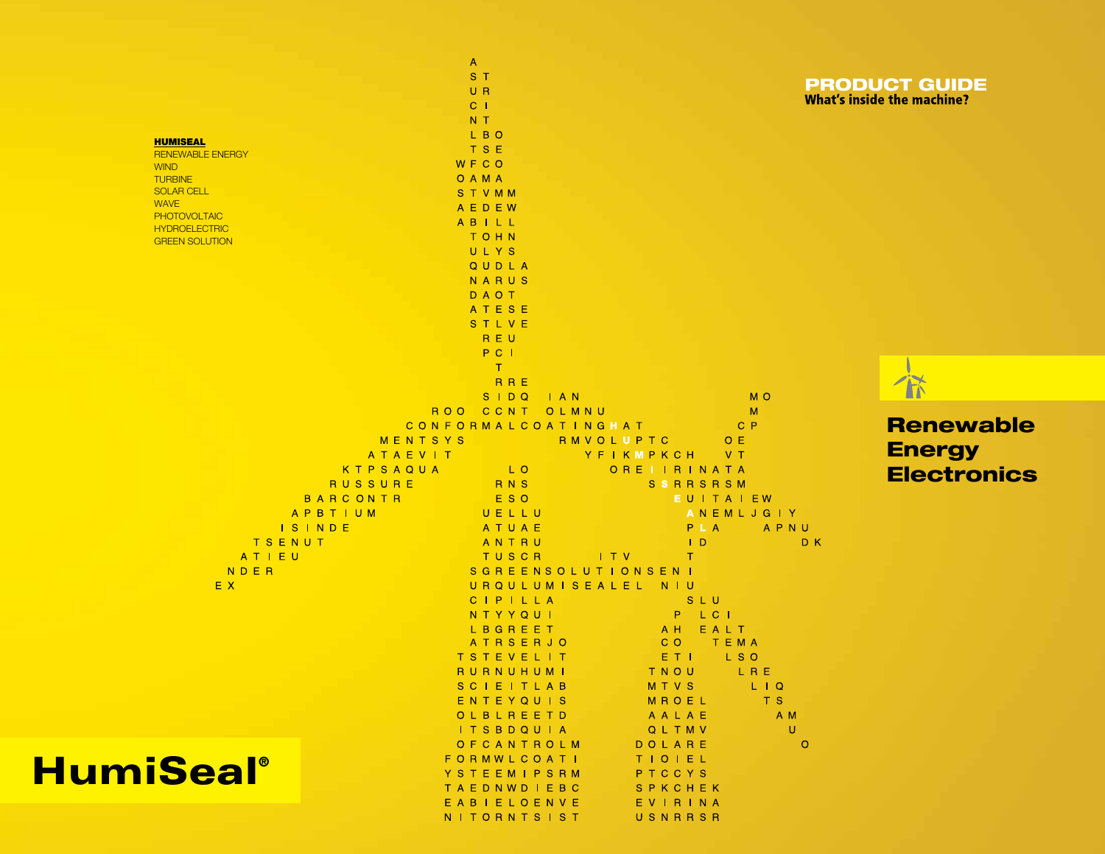|                               | $\mathsf{A}$                                                              |                                        |                                   |
|-------------------------------|---------------------------------------------------------------------------|----------------------------------------|-----------------------------------|
|                               | S T                                                                       |                                        | <b>PRODUCT GUIDE</b>              |
|                               | UR<br>C <sub>1</sub>                                                      |                                        | <b>What's inside the machine?</b> |
|                               | N T                                                                       |                                        |                                   |
|                               | L B O                                                                     |                                        |                                   |
| <b>HUMISEAL</b>               | <b>TSE</b>                                                                |                                        |                                   |
| <b>RENEWABLE ENERGY</b>       | <b>WFCO</b>                                                               |                                        |                                   |
| <b>WIND</b><br><b>TURBINE</b> | O A M A                                                                   |                                        |                                   |
| <b>SOLAR CELL</b>             | STVMM                                                                     |                                        |                                   |
| <b>WAVE</b>                   | AEDEW                                                                     |                                        |                                   |
| <b>PHOTOVOLTAIC</b>           | ABILL                                                                     |                                        |                                   |
| <b>HYDROELECTRIC</b>          | TOHN                                                                      |                                        |                                   |
| <b>GREEN SOLUTION</b>         | ULYS                                                                      |                                        |                                   |
|                               | QUDLA                                                                     |                                        |                                   |
|                               | NARUS                                                                     |                                        |                                   |
|                               | DAOT                                                                      |                                        |                                   |
|                               | ATESE                                                                     |                                        |                                   |
|                               | STLVE                                                                     |                                        |                                   |
|                               | REU                                                                       |                                        |                                   |
|                               | PC I                                                                      |                                        |                                   |
|                               | T                                                                         |                                        |                                   |
|                               | <b>RRE</b>                                                                |                                        |                                   |
|                               | $S$   $DQ$<br>$\blacksquare$ $\blacksquare$ $\blacksquare$ $\blacksquare$ | M <sub>O</sub>                         |                                   |
|                               | ROO<br>CCNT<br>OLMNU                                                      | M                                      |                                   |
|                               | CONFORMALCOATINGHAT                                                       | $C$ $P$                                | <b>Renewable</b>                  |
|                               | MENTSYS                                                                   | RMVOLUPTC<br>O E                       |                                   |
|                               | ATAEVIT                                                                   | YFIKMPKCH<br>V T                       | <b>Energy</b>                     |
|                               | KTPSAQUA<br>L O                                                           | OREIIRINATA                            | <b>Electronics</b>                |
| <b>RUSSURE</b>                | <b>RNS</b>                                                                | <b>SSRRSRSM</b>                        |                                   |
| BARCONTR                      | E S O                                                                     | EUITAIEW                               |                                   |
| APBTIUM                       | UELLU                                                                     | ANEMLJGIY                              |                                   |
| <b>ISINDE</b>                 | ATUAE                                                                     | PLA<br>APNU                            |                                   |
| TSENUT                        | ANTRU                                                                     | $\mathsf{L}$                           | D K                               |
| ATIEU                         | TUSCR                                                                     | $\top$ $V$<br>$\top$                   |                                   |
| NDER                          | SGREENSOLUTIONSENI                                                        |                                        |                                   |
| EX.                           | URQULUMISEALEL NIU                                                        |                                        |                                   |
|                               | CIPILLA                                                                   | SLU                                    |                                   |
|                               | N T Y Y Q U I                                                             | $-L$ C $L$<br>P.                       |                                   |
|                               | LBGREET                                                                   | A H<br>EALT                            |                                   |
|                               | <b>ATRSERJO</b>                                                           | $C$ O<br>TEMA                          |                                   |
|                               | T S T E V E L I T                                                         | ETI<br>L S O                           |                                   |
|                               | RURNUHUMI                                                                 | TNOU LRE                               |                                   |
|                               | SCIEITLAB                                                                 | <b>MTVS</b><br>$L$ $\overline{Q}$      |                                   |
|                               | ENTEYQUIS                                                                 | MROEL<br>T S                           |                                   |
|                               | OLBLREETD                                                                 | A M<br>AALAE                           |                                   |
|                               | I T S B D Q U I A                                                         | QLTMV                                  | U                                 |
|                               | OFCANTROLM                                                                | DOLARE                                 | $\circ$                           |
|                               | <b>FORMWLCOATI</b>                                                        | TIOIEL                                 |                                   |
| <b>HumiSeal</b> ®             | YSTEEMIPSRM                                                               | PTCCYS                                 |                                   |
|                               | TAEDNWDIEBC                                                               | SPKCHEK                                |                                   |
|                               | <b>DIEIOENVE</b>                                                          | $\Box$ $V$ $\Box$ $\Box$ $\Box$ $\Box$ |                                   |

NITORNTSIST

USNRRSR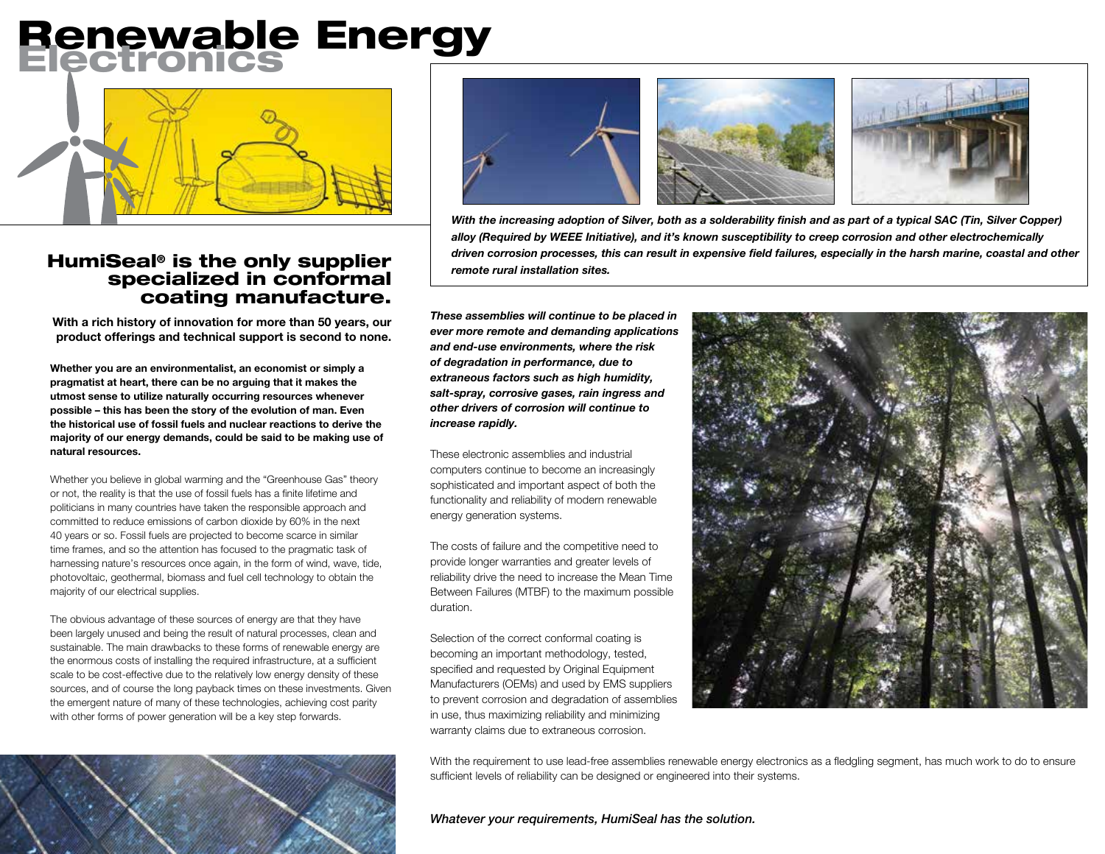## **Renewable Energy**



## specialized in conformal coating manufacture.

**With a rich history of innovation for more than 50 years, our product offerings and technical support is second to none.**

**Whether you are an environmentalist, an economist or simply a pragmatist at heart, there can be no arguing that it makes the utmost sense to utilize naturally occurring resources whenever possible – this has been the story of the evolution of man. Even the historical use of fossil fuels and nuclear reactions to derive the majority of our energy demands, could be said to be making use of natural resources.**

Whether you believe in global warming and the "Greenhouse Gas" theory or not, the reality is that the use of fossil fuels has a finite lifetime and politicians in many countries have taken the responsible approach and committed to reduce emissions of carbon dioxide by 60% in the next 40 years or so. Fossil fuels are projected to become scarce in similar time frames, and so the attention has focused to the pragmatic task of harnessing nature's resources once again, in the form of wind, wave, tide, photovoltaic, geothermal, biomass and fuel cell technology to obtain the majority of our electrical supplies.

The obvious advantage of these sources of energy are that they have been largely unused and being the result of natural processes, clean and sustainable. The main drawbacks to these forms of renewable energy are the enormous costs of installing the required infrastructure, at a sufficient scale to be cost-effective due to the relatively low energy density of these sources, and of course the long payback times on these investments. Given the emergent nature of many of these technologies, achieving cost parity with other forms of power generation will be a key step forwards.





With the increasing adoption of Silver, both as a solderability finish and as part of a typical SAC (Tin, Silver Copper) *alloy (Required by WEEE Initiative), and it's known susceptibility to creep corrosion and other electrochemically*  HumiSeal<sup>®</sup> is the only supplier and *driven corrosion processes, this can result in expensive field failures, especially in the harsh marine, coastal and other remote rural installation sites.* 

*These assemblies will continue to be placed in ever more remote and demanding applications and end-use environments, where the risk of degradation in performance, due to extraneous factors such as high humidity, salt-spray, corrosive gases, rain ingress and other drivers of corrosion will continue to increase rapidly.*

These electronic assemblies and industrial computers continue to become an increasingly sophisticated and important aspect of both the functionality and reliability of modern renewable energy generation systems.

The costs of failure and the competitive need to provide longer warranties and greater levels of reliability drive the need to increase the Mean Time Between Failures (MTBF) to the maximum possible duration.

Selection of the correct conformal coating is becoming an important methodology, tested, specified and requested by Original Equipment Manufacturers (OEMs) and used by EMS suppliers to prevent corrosion and degradation of assemblies in use, thus maximizing reliability and minimizing warranty claims due to extraneous corrosion.



With the requirement to use lead-free assemblies renewable energy electronics as a fledgling segment, has much work to do to ensure sufficient levels of reliability can be designed or engineered into their systems.

*Whatever your requirements, HumiSeal has the solution.*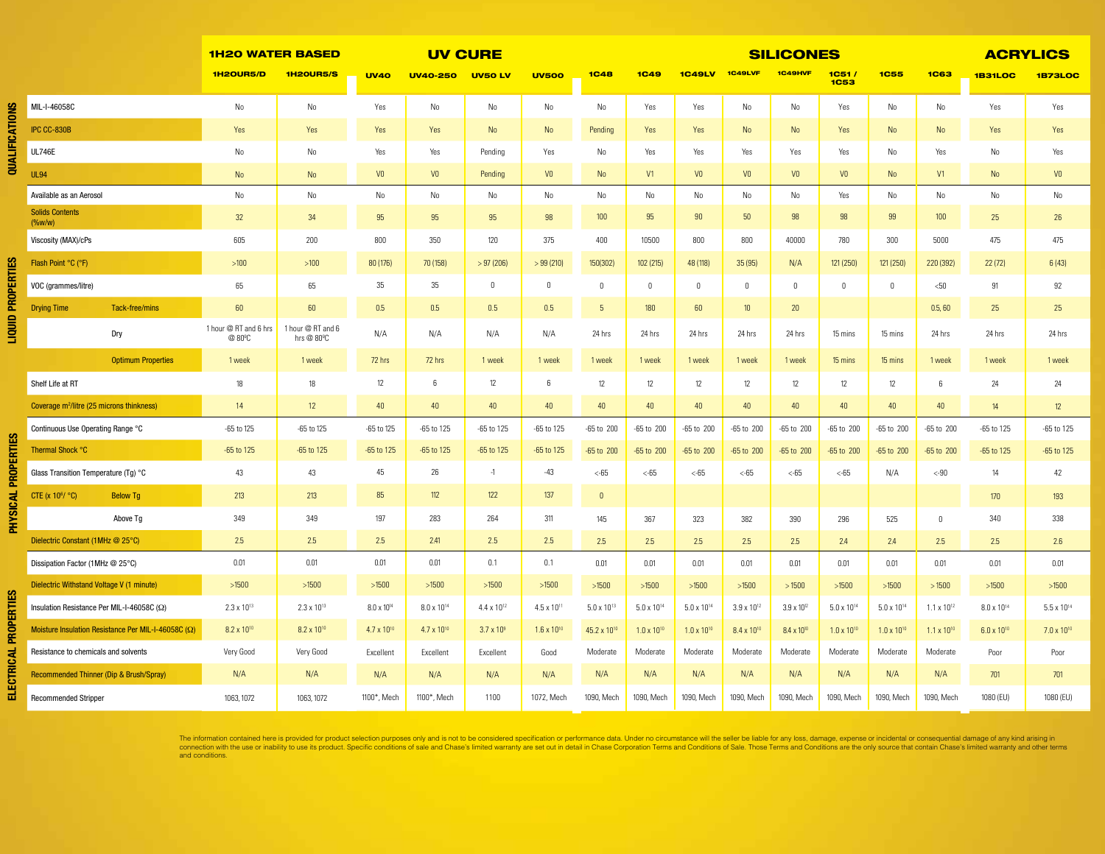|    |                                                            | <b>1H20 WATER BASED</b>                      |                                              | <b>UV CURE</b>       |                        |                      |                      | <b>SILICONES</b>        |                      |                      |                        |                        |                      | <b>ACRYLICS</b>      |                      |                        |                        |
|----|------------------------------------------------------------|----------------------------------------------|----------------------------------------------|----------------------|------------------------|----------------------|----------------------|-------------------------|----------------------|----------------------|------------------------|------------------------|----------------------|----------------------|----------------------|------------------------|------------------------|
|    |                                                            | 1H2OUR5/D                                    | <b>1H20UR5/S</b>                             | <b>UV40</b>          | <b>UV40-250</b>        | <b>UV50 LV</b>       | <b>UV500</b>         | <b>1C48</b>             | <b>1C49</b>          | <b>1C49LV</b>        | <b>1C49LVF</b>         | 1C49HVF                | 1C51/<br><b>1C53</b> | <b>1C55</b>          | <b>1C63</b>          | <b>1B31LOC</b>         | <b>1B73LOC</b>         |
| ≌  | MIL-I-46058C                                               | No                                           | No                                           | Yes                  | No                     | No                   | No                   | No                      | Yes                  | Yes                  | No                     | No                     | Yes                  | No                   | No                   | Yes                    | Yes                    |
|    | IPC CC-830B                                                | Yes                                          | Yes                                          | Yes                  | Yes                    | No                   | No                   | Pending                 | Yes                  | Yes                  | No                     | No                     | Yes                  | No                   | No                   | Yes                    | Yes                    |
|    | <b>UL746E</b>                                              | No                                           | No                                           | Yes                  | Yes                    | Pending              | Yes                  | No                      | Yes                  | Yes                  | Yes                    | Yes                    | Yes                  | No                   | Yes                  | No                     | Yes                    |
| ⋚  | <b>UL94</b>                                                | No                                           | No                                           | V <sub>0</sub>       | V <sub>0</sub>         | Pending              | V <sub>0</sub>       | N <sub>o</sub>          | V1                   | V <sub>0</sub>       | V <sub>0</sub>         | V <sub>0</sub>         | V <sub>0</sub>       | N <sub>o</sub>       | V1                   | No                     | V <sub>0</sub>         |
|    | Available as an Aerosol                                    | No                                           | No                                           | No                   | No                     | No                   | No                   | No                      | No                   | No                   | No                     | No                     | Yes                  | No                   | No                   | No                     | No                     |
|    | <b>Solids Contents</b><br>$(% w^2)$ (%w/w)                 | 32                                           | 34                                           | 95                   | 95                     | 95                   | 98                   | 100                     | 95                   | 90                   | 50                     | 98                     | 98                   | 99                   | 100                  | 25                     | 26                     |
|    | Viscosity (MAX)/cPs                                        | 605                                          | 200                                          | 800                  | 350                    | 120                  | 375                  | 400                     | 10500                | 800                  | 800                    | 40000                  | 780                  | 300                  | 5000                 | 475                    | 475                    |
| K  | Flash Point °C (°F)                                        | $>100$                                       | $>100$                                       | 80 (176)             | 70 (158)               | >97(206)             | >99(210)             | 150(302)                | 102 (215)            | 48 (118)             | 35(95)                 | N/A                    | 121 (250)            | 121 (250)            | 220 (392)            | 22 (72)                | 6(43)                  |
|    | VOC (grammes/litre)                                        | 65                                           | 65                                           | 35                   | 35                     | $\mathbf{0}$         | $\mathbf{0}$         | $\theta$                | $\mathbf 0$          | $\mathbf 0$          | $\mathbf 0$            | $\mathbf 0$            | $\Omega$             | $\mathbb O$          | < 50                 | 91                     | 92                     |
| ∊  | <b>Drying Time</b><br>Tack-free/mins                       | 60                                           | 60                                           | 0.5                  | 0.5                    | 0.5                  | 0.5                  | 5                       | 180                  | 60                   | 10 <sup>10</sup>       | 20                     |                      |                      | 0.5, 60              | 25                     | 25                     |
| 目目 | Dry                                                        | 1 hour @ RT and 6 hrs<br>@ 80 <sup>°</sup> C | 1 hour @ RT and 6<br>hrs @ 80 <sup>o</sup> C | N/A                  | N/A                    | N/A                  | N/A                  | 24 hrs                  | 24 hrs               | 24 hrs               | 24 hrs                 | 24 hrs                 | 15 mins              | 15 mins              | 24 hrs               | 24 hrs                 | 24 hrs                 |
|    | <b>Optimum Properties</b>                                  | 1 week                                       | 1 week                                       | 72 hrs               | 72 hrs                 | 1 week               | 1 week               | 1 week                  | 1 week               | 1 week               | 1 week                 | 1 week                 | 15 mins              | 15 mins              | 1 week               | 1 week                 | 1 week                 |
|    | Shelf Life at RT                                           | 18                                           | 18                                           | 12                   | 6                      | 12                   | 6                    | 12                      | 12                   | 12                   | 12                     | 12                     | 12                   | 12                   | 6                    | 24                     | 24                     |
|    | Coverage m <sup>2</sup> /litre (25 microns thinkness)      | 14                                           | 12 <sup>°</sup>                              | 40                   | 40                     | 40                   | 40                   | 40                      | 40                   | 40                   | 40                     | 40                     | 40                   | 40                   | 40                   | 14                     | 12                     |
|    | Continuous Use Operating Range °C                          | -65 to 125                                   | -65 to 125                                   | -65 to 125           | -65 to 125             | -65 to 125           | -65 to 125           | -65 to 200              | -65 to 200           | -65 to 200           | -65 to 200             | $-65$ to $200$         | -65 to 200           | -65 to 200           | -65 to 200           | $-65$ to $125$         | -65 to 125             |
|    | Thermal Shock °C                                           | -65 to 125                                   | -65 to 125                                   | -65 to 125           | $-65$ to $125$         | -65 to 125           | -65 to 125           | -65 to 200              | -65 to 200           | -65 to 200           | -65 to 200             | -65 to 200             | -65 to 200           | -65 to 200           | $-65$ to $200$       | $-65$ to 125           | -65 to 125             |
|    | Glass Transition Temperature (Tg) °C                       | 43                                           | 43                                           | 45                   | $26\,$                 | $-1$                 | $-43$                | <65                     | <65                  | $<-65$               | <65                    | $<$ -65                | $<$ -65              | N/A                  | $< -90$              | 14                     | 42                     |
|    | CTE (x 10 <sup>6</sup> / °C)<br><b>Below Tg</b>            | 213                                          | 213                                          | 85                   | 112                    | 122                  | 137                  | $\mathbf 0$             |                      |                      |                        |                        |                      |                      |                      | 170                    | 193                    |
|    | Above Tg                                                   | 349                                          | 349                                          | 197                  | 283                    | 264                  | 311                  | 145                     | 367                  | 323                  | 382                    | 390                    | 296                  | 525                  | $\mathbb O$          | 340                    | 338                    |
|    | Dielectric Constant (1MHz @ 25°C)                          | 2.5                                          | 2.5                                          | 2.5                  | 2.41                   | 2.5                  | 2.5                  | 2.5                     | 2.5                  | 2.5                  | 2.5                    | 2.5                    | 2.4                  | 2.4                  | 2.5                  | 2.5                    | 2.6                    |
|    | Dissipation Factor (1MHz @ 25°C)                           | 0.01                                         | 0.01                                         | 0.01                 | 0.01                   | 0.1                  | 0.1                  | 0.01                    | 0.01                 | 0.01                 | 0.01                   | 0.01                   | 0.01                 | 0.01                 | 0.01                 | 0.01                   | 0.01                   |
| U. | Dielectric Withstand Voltage V (1 minute)                  | >1500                                        | $>1500$                                      | $>1500$              | $>1500$                | >1500                | >1500                | >1500                   | >1500                | $>1500$              | >1500                  | >1500                  | $>1500$              | >1500                | >1500                | >1500                  | >1500                  |
|    | Insulation Resistance Per MIL-I-46058C (Ω)                 | $2.3 \times 10^{13}$                         | $2.3 \times 10^{13}$                         | $8.0 \times 10^{14}$ | 8.0 x 10 <sup>14</sup> | $4.4 \times 10^{12}$ | $4.5 \times 10^{11}$ | $5.0 \times 10^{13}$    | $5.0 \times 10^{14}$ | $5.0 \times 10^{14}$ | $3.9 \times 10^{12}$   | $3.9 \times 10^{12}$   | $5.0 \times 10^{14}$ | $5.0 \times 10^{14}$ | $1.1 \times 10^{12}$ | 8.0 x 10 <sup>14</sup> | 5.5 x 10 <sup>14</sup> |
|    | Moisture Insulation Resistance Per MIL-I-46058C $(\Omega)$ | 8.2 x 10 <sup>10</sup>                       | 8.2 x 10 <sup>10</sup>                       | $4.7 \times 10^{10}$ | $4.7 \times 10^{10}$   | $3.7 \times 10^{9}$  | $1.6 \times 10^{10}$ | 45.2 x 10 <sup>10</sup> | $1.0 \times 10^{10}$ | $1.0 \times 10^{10}$ | 8.4 x 10 <sup>10</sup> | 8.4 x 10 <sup>10</sup> | $1.0 \times 10^{10}$ | $1.0 \times 10^{10}$ | $1.1 \times 10^{10}$ | $6.0 \times 10^{10}$   | $7.0 \times 10^{10}$   |
|    | Resistance to chemicals and solvents                       | Very Good                                    | Very Good                                    | Excellent            | Excellent              | Excellent            | Good                 | Moderate                | Moderate             | Moderate             | Moderate               | Moderate               | Moderate             | Moderate             | Moderate             | Poor                   | Poor                   |
|    | Recommended Thinner (Dip & Brush/Spray)                    | N/A                                          | N/A                                          | N/A                  | N/A                    | N/A                  | N/A                  | N/A                     | N/A                  | N/A                  | N/A                    | N/A                    | N/A                  | N/A                  | N/A                  | 701                    | 701                    |
|    | <b>Recommended Stripper</b>                                | 1063, 1072                                   | 1063, 1072                                   | 1100*, Mech          | 1100*, Mech            | 1100                 | 1072, Mech           | 1090, Mech              | 1090, Mech           | 1090, Mech           | 1090, Mech             | 1090, Mech             | 1090, Mech           | 1090, Mech           | 1090, Mech           | 1080 (EU)              | 1080 (EU)              |

The information contained here is provided for product selection purposes only and is not to be considered specification or performance data. Under no circumstance will the seller be liable for any loss, damage, expense or